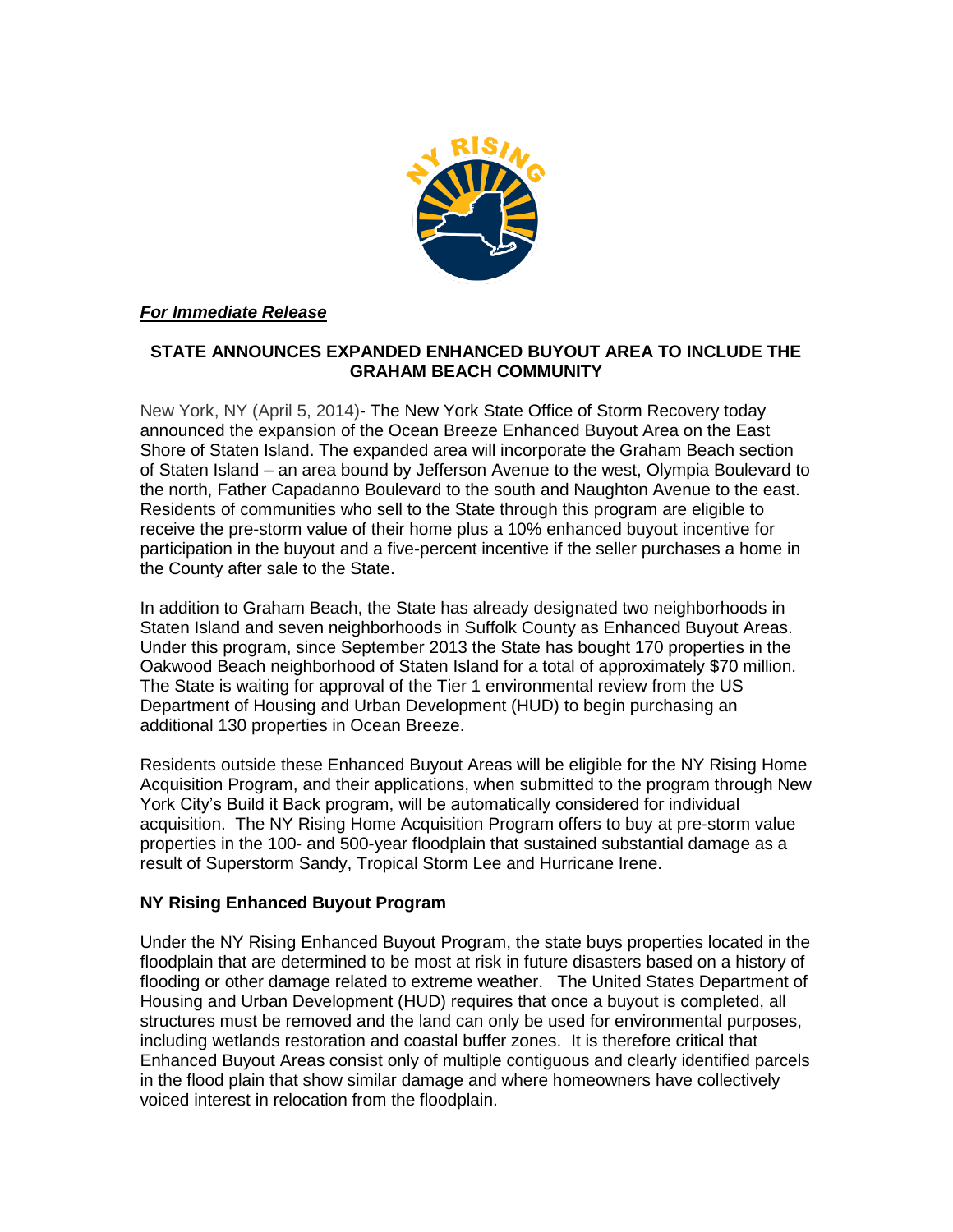

## *For Immediate Release*

## **STATE ANNOUNCES EXPANDED ENHANCED BUYOUT AREA TO INCLUDE THE GRAHAM BEACH COMMUNITY**

New York, NY (April 5, 2014)- The New York State Office of Storm Recovery today announced the expansion of the Ocean Breeze Enhanced Buyout Area on the East Shore of Staten Island. The expanded area will incorporate the Graham Beach section of Staten Island – an area bound by Jefferson Avenue to the west, Olympia Boulevard to the north, Father Capadanno Boulevard to the south and Naughton Avenue to the east. Residents of communities who sell to the State through this program are eligible to receive the pre-storm value of their home plus a 10% enhanced buyout incentive for participation in the buyout and a five-percent incentive if the seller purchases a home in the County after sale to the State.

In addition to Graham Beach, the State has already designated two neighborhoods in Staten Island and seven neighborhoods in Suffolk County as Enhanced Buyout Areas. Under this program, since September 2013 the State has bought 170 properties in the Oakwood Beach neighborhood of Staten Island for a total of approximately \$70 million. The State is waiting for approval of the Tier 1 environmental review from the US Department of Housing and Urban Development (HUD) to begin purchasing an additional 130 properties in Ocean Breeze.

Residents outside these Enhanced Buyout Areas will be eligible for the NY Rising Home Acquisition Program, and their applications, when submitted to the program through New York City's Build it Back program, will be automatically considered for individual acquisition. The NY Rising Home Acquisition Program offers to buy at pre-storm value properties in the 100- and 500-year floodplain that sustained substantial damage as a result of Superstorm Sandy, Tropical Storm Lee and Hurricane Irene.

## **NY Rising Enhanced Buyout Program**

Under the NY Rising Enhanced Buyout Program, the state buys properties located in the floodplain that are determined to be most at risk in future disasters based on a history of flooding or other damage related to extreme weather. The United States Department of Housing and Urban Development (HUD) requires that once a buyout is completed, all structures must be removed and the land can only be used for environmental purposes, including wetlands restoration and coastal buffer zones. It is therefore critical that Enhanced Buyout Areas consist only of multiple contiguous and clearly identified parcels in the flood plain that show similar damage and where homeowners have collectively voiced interest in relocation from the floodplain.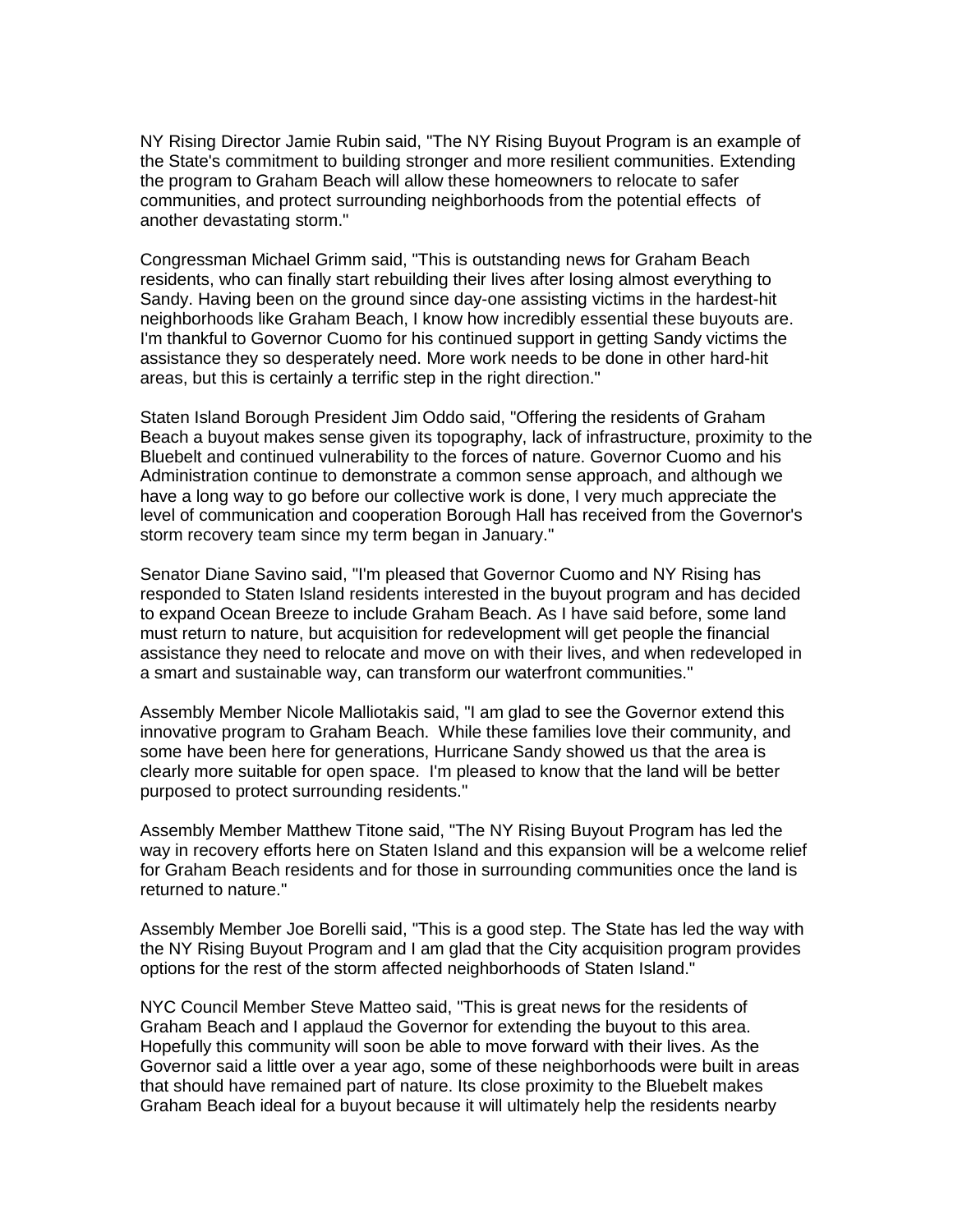NY Rising Director Jamie Rubin said, "The NY Rising Buyout Program is an example of the State's commitment to building stronger and more resilient communities. Extending the program to Graham Beach will allow these homeowners to relocate to safer communities, and protect surrounding neighborhoods from the potential effects of another devastating storm."

Congressman Michael Grimm said, "This is outstanding news for Graham Beach residents, who can finally start rebuilding their lives after losing almost everything to Sandy. Having been on the ground since day-one assisting victims in the hardest-hit neighborhoods like Graham Beach, I know how incredibly essential these buyouts are. I'm thankful to Governor Cuomo for his continued support in getting Sandy victims the assistance they so desperately need. More work needs to be done in other hard-hit areas, but this is certainly a terrific step in the right direction."

Staten Island Borough President Jim Oddo said, "Offering the residents of Graham Beach a buyout makes sense given its topography, lack of infrastructure, proximity to the Bluebelt and continued vulnerability to the forces of nature. Governor Cuomo and his Administration continue to demonstrate a common sense approach, and although we have a long way to go before our collective work is done, I very much appreciate the level of communication and cooperation Borough Hall has received from the Governor's storm recovery team since my term began in January."

Senator Diane Savino said, "I'm pleased that Governor Cuomo and NY Rising has responded to Staten Island residents interested in the buyout program and has decided to expand Ocean Breeze to include Graham Beach. As I have said before, some land must return to nature, but acquisition for redevelopment will get people the financial assistance they need to relocate and move on with their lives, and when redeveloped in a smart and sustainable way, can transform our waterfront communities."

Assembly Member Nicole Malliotakis said, "I am glad to see the Governor extend this innovative program to Graham Beach. While these families love their community, and some have been here for generations, Hurricane Sandy showed us that the area is clearly more suitable for open space. I'm pleased to know that the land will be better purposed to protect surrounding residents."

Assembly Member Matthew Titone said, "The NY Rising Buyout Program has led the way in recovery efforts here on Staten Island and this expansion will be a welcome relief for Graham Beach residents and for those in surrounding communities once the land is returned to nature."

Assembly Member Joe Borelli said, "This is a good step. The State has led the way with the NY Rising Buyout Program and I am glad that the City acquisition program provides options for the rest of the storm affected neighborhoods of Staten Island."

NYC Council Member Steve Matteo said, "This is great news for the residents of Graham Beach and I applaud the Governor for extending the buyout to this area. Hopefully this community will soon be able to move forward with their lives. As the Governor said a little over a year ago, some of these neighborhoods were built in areas that should have remained part of nature. Its close proximity to the Bluebelt makes Graham Beach ideal for a buyout because it will ultimately help the residents nearby